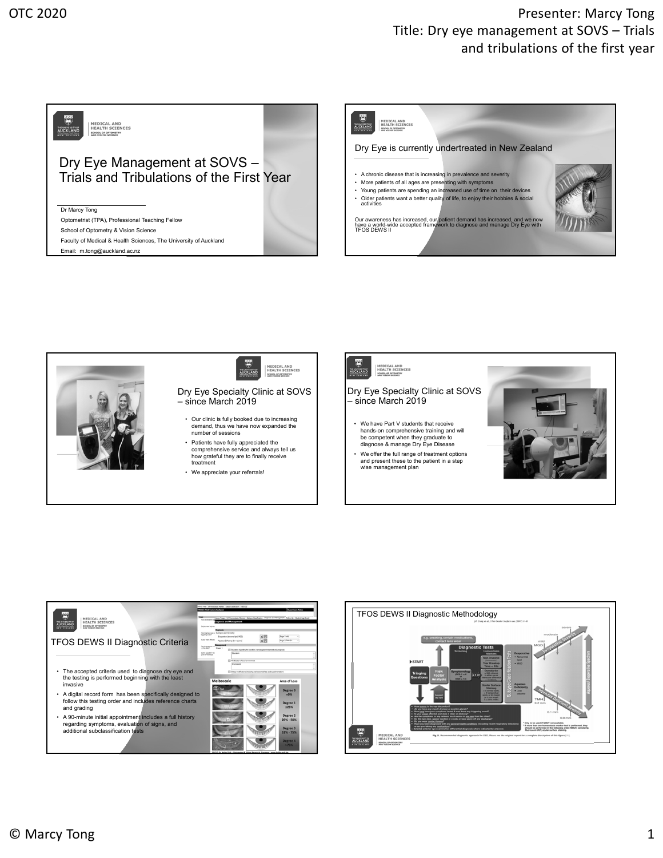## OTC 2020 **Presenter:** Marcy Tong Title: Dry eye management at SOVS – Trials and tribulations of the first year







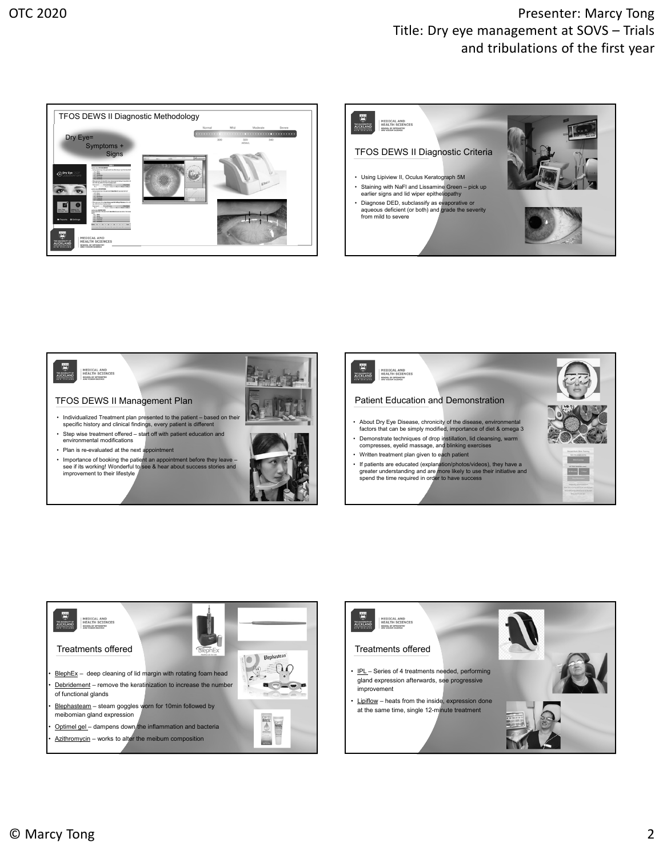## OTC 2020 **Presenter:** Marcy Tong Title: Dry eye management at SOVS – Trials and tribulations of the first year